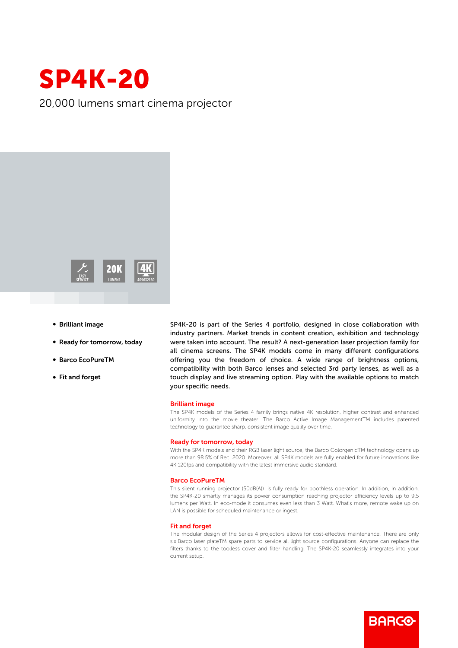

20,000 lumens smart cinema projector



- **Brilliant image**
- Ready for tomorrow, today
- b Barco EcoPureTM
- Fit and forget

SP4K-20 is part of the Series 4 portfolio, designed in close collaboration with industry partners. Market trends in content creation, exhibition and technology were taken into account. The result? A next-generation laser projection family for all cinema screens. The SP4K models come in many different configurations offering you the freedom of choice. A wide range of brightness options, compatibility with both Barco lenses and selected 3rd party lenses, as well as a touch display and live streaming option. Play with the available options to match your specific needs.

# Brilliant image

The SP4K models of the Series 4 family brings native 4K resolution, higher contrast and enhanced uniformity into the movie theater. The Barco Active Image ManagementTM includes patented technology to guarantee sharp, consistent image quality over time.

## Ready for tomorrow, today

With the SP4K models and their RGB laser light source, the Barco ColorgenicTM technology opens up more than 98.5% of Rec. 2020. Moreover, all SP4K models are fully enabled for future innovations like 4K 120fps and compatibility with the latest immersive audio standard.

#### Barco EcoPureTM

This silent running projector (50dB(A)) is fully ready for boothless operation. In addition, In addition, the SP4K-20 smartly manages its power consumption reaching projector efficiency levels up to 9.5 lumens per Watt. In eco-mode it consumes even less than 3 Watt. What's more, remote wake up on LAN is possible for scheduled maintenance or ingest.

## Fit and forget

The modular design of the Series 4 projectors allows for cost-effective maintenance. There are only six Barco laser plateTM spare parts to service all light source configurations. Anyone can replace the filters thanks to the toolless cover and filter handling. The SP4K-20 seamlessly integrates into your current setup.

**BARGO**